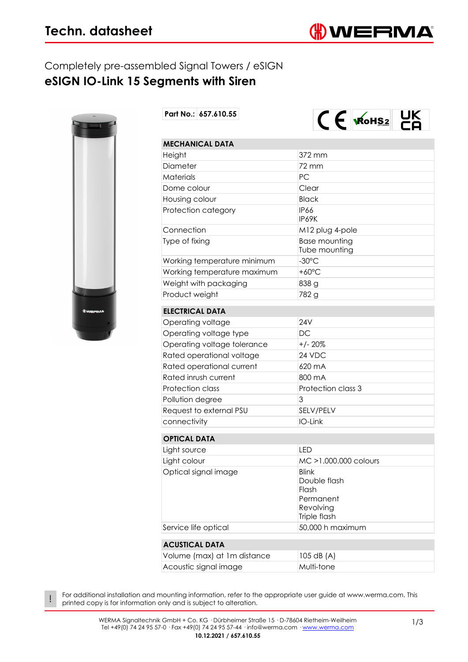### Completely pre-assembled Signal Towers / eSIGN **eSIGN IO-Link 15 Segments with Siren**



!

**Part No.: 657.610.55**



| <b>MECHANICAL DATA</b>      |                                                                                 |  |
|-----------------------------|---------------------------------------------------------------------------------|--|
| Height                      | 372 mm                                                                          |  |
| Diameter                    | 72 mm                                                                           |  |
| Materials                   | PC                                                                              |  |
| Dome colour                 | Clear                                                                           |  |
| Housing colour              | <b>Black</b>                                                                    |  |
| Protection category         | IP66<br>IP69K                                                                   |  |
| Connection                  | M12 plug 4-pole                                                                 |  |
| Type of fixing              | <b>Base mounting</b><br>Tube mounting                                           |  |
| Working temperature minimum | $-30^{\circ}$ C                                                                 |  |
| Working temperature maximum | $+60^{\circ}$ C                                                                 |  |
| Weight with packaging       | 838 g                                                                           |  |
| Product weight              | 782 g                                                                           |  |
| <b>ELECTRICAL DATA</b>      |                                                                                 |  |
| Operating voltage           | <b>24V</b>                                                                      |  |
| Operating voltage type      | DC                                                                              |  |
| Operating voltage tolerance | $+/- 20%$                                                                       |  |
| Rated operational voltage   | 24 VDC                                                                          |  |
| Rated operational current   | 620 mA                                                                          |  |
| Rated inrush current        | 800 mA                                                                          |  |
| Protection class            | Protection class 3                                                              |  |
| Pollution degree            | 3                                                                               |  |
| Request to external PSU     | SELV/PELV                                                                       |  |
| connectivity                | IO-Link                                                                         |  |
| <b>OPTICAL DATA</b>         |                                                                                 |  |
| Light source                | LED                                                                             |  |
| Light colour                | MC >1.000.000 colours                                                           |  |
| Optical signal image        | <b>Blink</b><br>Double flash<br>Flash<br>Permanent<br>Revolving<br>Triple flash |  |
| Service life optical        | 50,000 h maximum                                                                |  |

#### **[ACUSTICAL DATA](#page--1-0)**

| Volume (max) at 1m distance | $ 105$ dB $(A)$ |
|-----------------------------|-----------------|
| Acoustic signal image       | Multi-tone      |

For additional installation and mounting information, refer to the appropriate user guide at www.werma.com. This printed copy is for information only and is subject to alteration.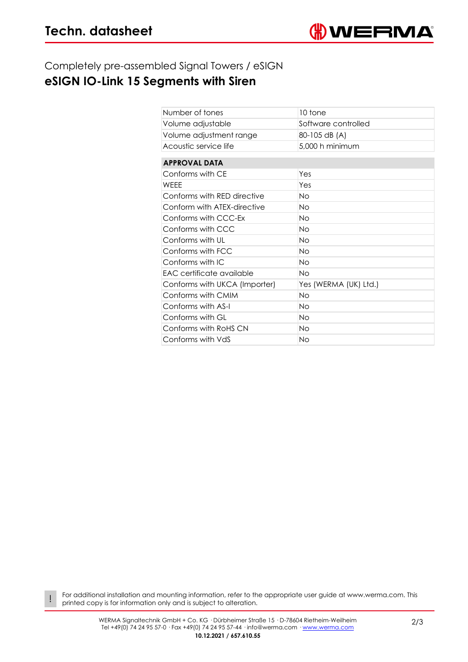!

### Completely pre-assembled Signal Towers / eSIGN

# **eSIGN IO-Link 15 Segments with Siren**

| Number of tones               | 10 tone               |  |
|-------------------------------|-----------------------|--|
| Volume adjustable             | Software controlled   |  |
| Volume adjustment range       | 80-105 dB (A)         |  |
| Acoustic service life         | 5,000 h minimum       |  |
|                               |                       |  |
| <b>APPROVAL DATA</b>          |                       |  |
| Conforms with CE              | Yes                   |  |
| WFFF                          | Yes                   |  |
| Conforms with RED directive   | <b>No</b>             |  |
| Conform with ATEX-directive   | <b>No</b>             |  |
| Conforms with CCC-Ex          | <b>No</b>             |  |
| Conforms with CCC             | <b>No</b>             |  |
| Conforms with UL              | <b>No</b>             |  |
| Conforms with FCC             | Νo                    |  |
| Conforms with IC              | <b>No</b>             |  |
| EAC certificate available     | Νo                    |  |
| Conforms with UKCA (Importer) | Yes (WERMA (UK) Ltd.) |  |
| Conforms with CMIM            | <b>No</b>             |  |
| Conforms with AS-I            | Νo                    |  |
| Conforms with GL              | <b>No</b>             |  |
| Conforms with RoHS CN         | <b>No</b>             |  |
| Conforms with VdS             | No                    |  |

For additional installation and mounting information, refer to the appropriate user guide at www.werma.com. This printed copy is for information only and is subject to alteration.